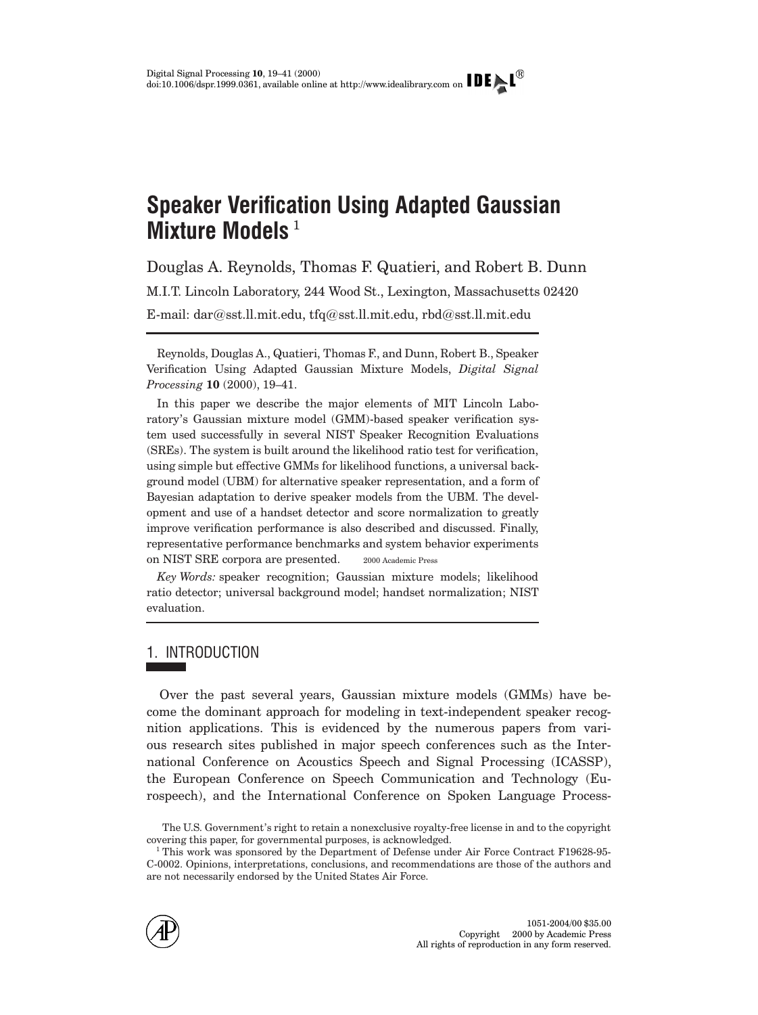# **Speaker Verification Using Adapted Gaussian Mixture Models** 1

Douglas A. Reynolds, Thomas F. Quatieri, and Robert B. Dunn M.I.T. Lincoln Laboratory, 244 Wood St., Lexington, Massachusetts 02420 E-mail: dar@sst.ll.mit.edu, tfq@sst.ll.mit.edu, rbd@sst.ll.mit.edu

In this paper we describe the major elements of MIT Lincoln Laboratory's Gaussian mixture model (GMM)-based speaker verification system used successfully in several NIST Speaker Recognition Evaluations (SREs). The system is built around the likelihood ratio test for verification, using simple but effective GMMs for likelihood functions, a universal background model (UBM) for alternative speaker representation, and a form of Bayesian adaptation to derive speaker models from the UBM. The development and use of a handset detector and score normalization to greatly improve verification performance is also described and discussed. Finally, representative performance benchmarks and system behavior experiments on NIST SRE corpora are presented.  $\circ$  2000 Academic Press

*Key Words:* speaker recognition; Gaussian mixture models; likelihood ratio detector; universal background model; handset normalization; NIST evaluation.

# 1. INTRODUCTION

Over the past several years, Gaussian mixture models (GMMs) have become the dominant approach for modeling in text-independent speaker recognition applications. This is evidenced by the numerous papers from various research sites published in major speech conferences such as the International Conference on Acoustics Speech and Signal Processing (ICASSP), the European Conference on Speech Communication and Technology (Eurospeech), and the International Conference on Spoken Language Process-

<sup>&</sup>lt;sup>1</sup> This work was sponsored by the Department of Defense under Air Force Contract F19628-95-C-0002. Opinions, interpretations, conclusions, and recommendations are those of the authors and are not necessarily endorsed by the United States Air Force.



Reynolds, Douglas A., Quatieri, Thomas F., and Dunn, Robert B., Speaker Verification Using Adapted Gaussian Mixture Models, *Digital Signal Processing* **10** (2000), 19–41.

The U.S. Government's right to retain a nonexclusive royalty-free license in and to the copyright covering this paper, for governmental purposes, is acknowledged.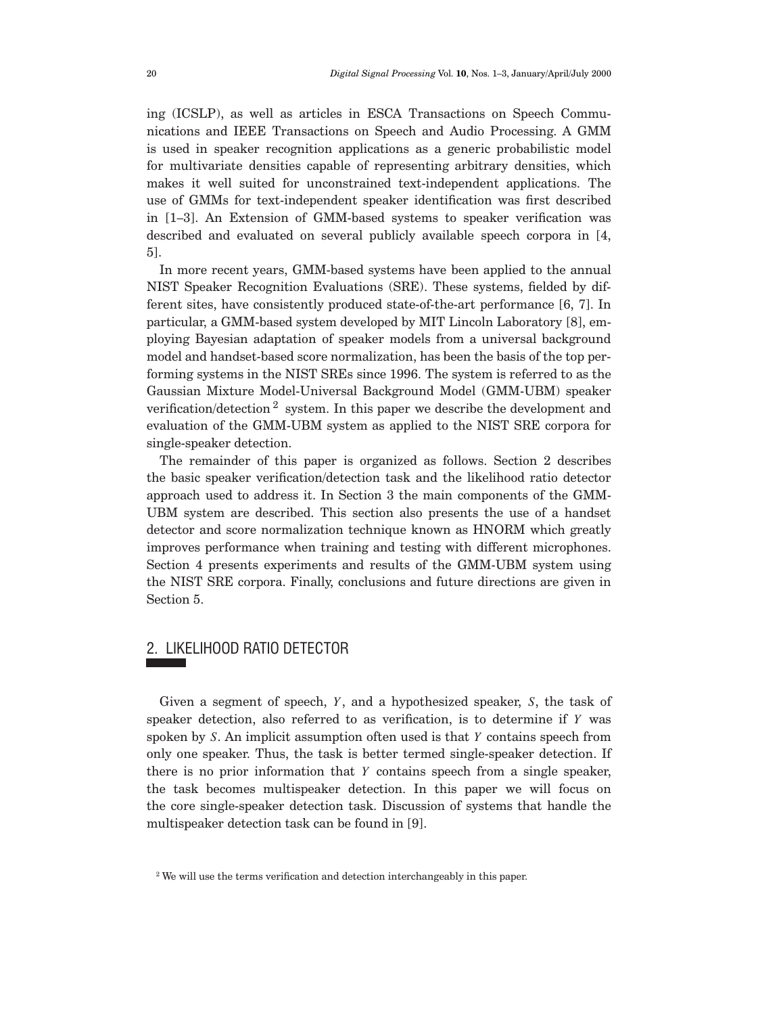ing (ICSLP), as well as articles in ESCA Transactions on Speech Communications and IEEE Transactions on Speech and Audio Processing. A GMM is used in speaker recognition applications as a generic probabilistic model for multivariate densities capable of representing arbitrary densities, which makes it well suited for unconstrained text-independent applications. The use of GMMs for text-independent speaker identification was first described in [1–3]. An Extension of GMM-based systems to speaker verification was described and evaluated on several publicly available speech corpora in [4, 5].

In more recent years, GMM-based systems have been applied to the annual NIST Speaker Recognition Evaluations (SRE). These systems, fielded by different sites, have consistently produced state-of-the-art performance [6, 7]. In particular, a GMM-based system developed by MIT Lincoln Laboratory [8], employing Bayesian adaptation of speaker models from a universal background model and handset-based score normalization, has been the basis of the top performing systems in the NIST SREs since 1996. The system is referred to as the Gaussian Mixture Model-Universal Background Model (GMM-UBM) speaker verification/detection  $2$  system. In this paper we describe the development and evaluation of the GMM-UBM system as applied to the NIST SRE corpora for single-speaker detection.

The remainder of this paper is organized as follows. Section 2 describes the basic speaker verification/detection task and the likelihood ratio detector approach used to address it. In Section 3 the main components of the GMM-UBM system are described. This section also presents the use of a handset detector and score normalization technique known as HNORM which greatly improves performance when training and testing with different microphones. Section 4 presents experiments and results of the GMM-UBM system using the NIST SRE corpora. Finally, conclusions and future directions are given in Section 5.

# 2. LIKELIHOOD RATIO DETECTOR

Given a segment of speech, *Y* , and a hypothesized speaker, *S*, the task of speaker detection, also referred to as verification, is to determine if *Y* was spoken by *S*. An implicit assumption often used is that *Y* contains speech from only one speaker. Thus, the task is better termed single-speaker detection. If there is no prior information that *Y* contains speech from a single speaker, the task becomes multispeaker detection. In this paper we will focus on the core single-speaker detection task. Discussion of systems that handle the multispeaker detection task can be found in [9].

<sup>&</sup>lt;sup>2</sup> We will use the terms verification and detection interchangeably in this paper.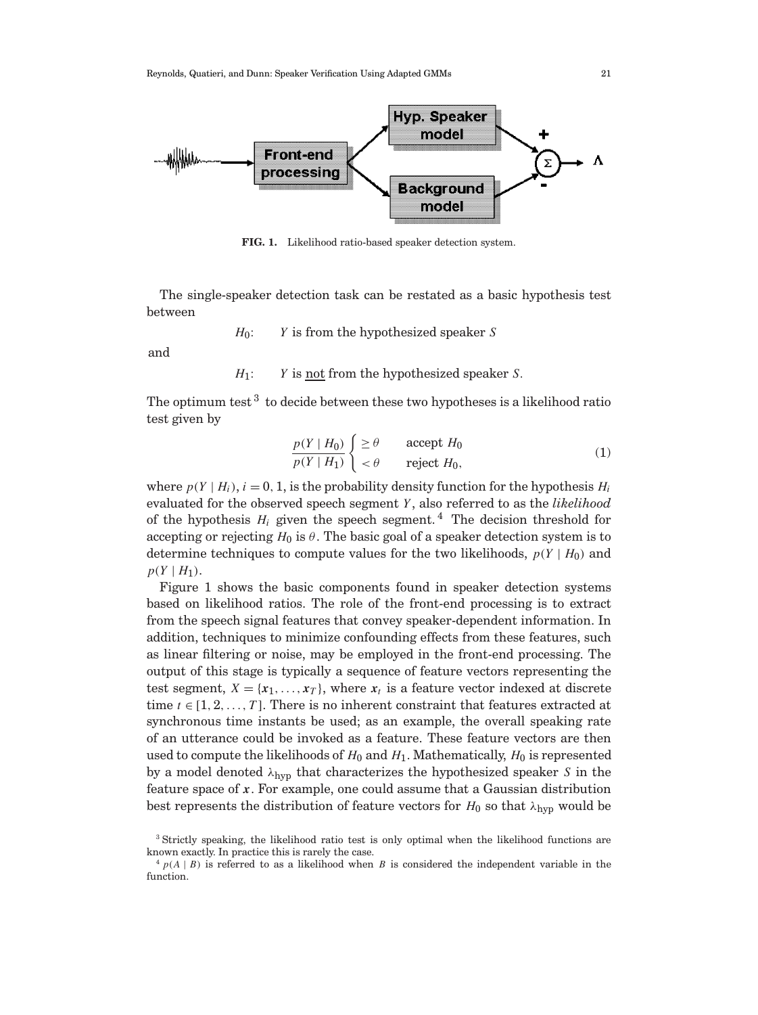

**FIG. 1.** Likelihood ratio-based speaker detection system.

The single-speaker detection task can be restated as a basic hypothesis test between

*H*0: *Y* is from the hypothesized speaker *S*

and

*H*1: *Y* is not from the hypothesized speaker *S.*

The optimum test<sup>3</sup> to decide between these two hypotheses is a likelihood ratio test given by

$$
\frac{p(Y \mid H_0)}{p(Y \mid H_1)} \begin{cases} \geq \theta & \text{accept } H_0 \\ \lt \theta & \text{reject } H_0, \end{cases} \tag{1}
$$

where  $p(Y | H_i)$ ,  $i = 0, 1$ , is the probability density function for the hypothesis  $H_i$ evaluated for the observed speech segment *Y* , also referred to as the *likelihood* of the hypothesis  $H_i$  given the speech segment.<sup>4</sup> The decision threshold for accepting or rejecting  $H_0$  is  $\theta$ . The basic goal of a speaker detection system is to determine techniques to compute values for the two likelihoods,  $p(Y | H_0)$  and  $p(Y | H_1)$ .

Figure 1 shows the basic components found in speaker detection systems based on likelihood ratios. The role of the front-end processing is to extract from the speech signal features that convey speaker-dependent information. In addition, techniques to minimize confounding effects from these features, such as linear filtering or noise, may be employed in the front-end processing. The output of this stage is typically a sequence of feature vectors representing the test segment,  $X = \{x_1, \ldots, x_T\}$ , where  $x_t$  is a feature vector indexed at discrete time  $t \in [1, 2, ..., T]$ . There is no inherent constraint that features extracted at synchronous time instants be used; as an example, the overall speaking rate of an utterance could be invoked as a feature. These feature vectors are then used to compute the likelihoods of  $H_0$  and  $H_1$ . Mathematically,  $H_0$  is represented by a model denoted *λ*hyp that characterizes the hypothesized speaker *S* in the feature space of *x*. For example, one could assume that a Gaussian distribution best represents the distribution of feature vectors for  $H_0$  so that  $\lambda_{\text{hyp}}$  would be

<sup>&</sup>lt;sup>3</sup> Strictly speaking, the likelihood ratio test is only optimal when the likelihood functions are known exactly. In practice this is rarely the case.

 $4 p(A | B)$  is referred to as a likelihood when *B* is considered the independent variable in the function.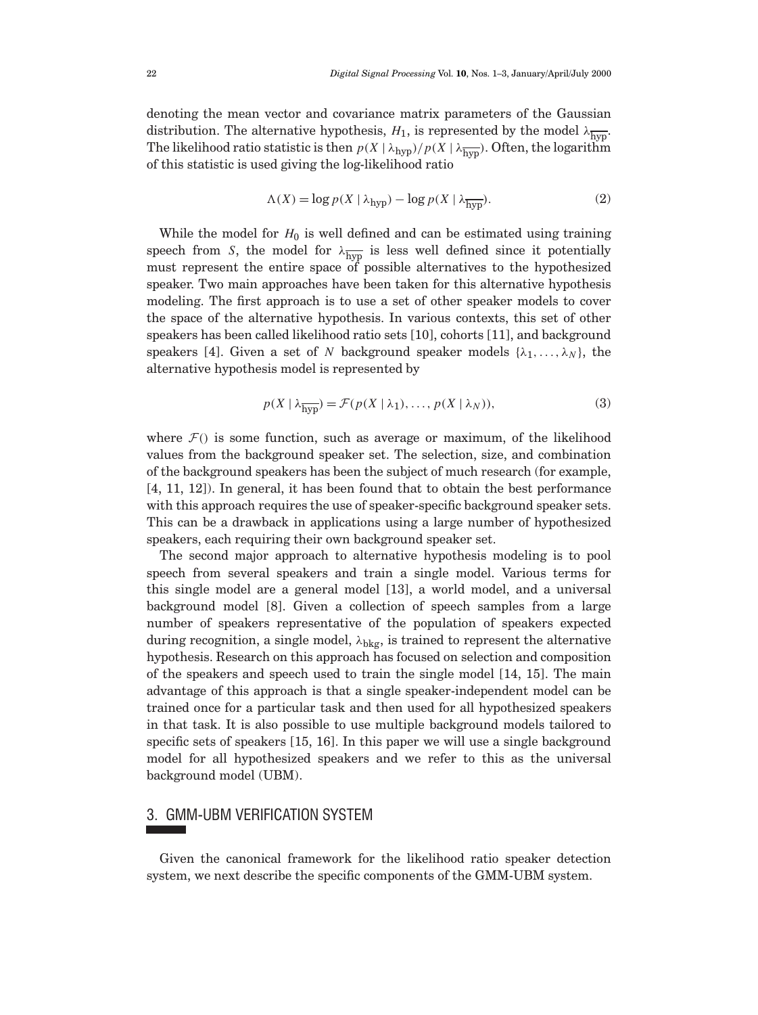denoting the mean vector and covariance matrix parameters of the Gaussian distribution. The alternative hypothesis,  $H_1$ , is represented by the model  $\lambda_{\overline{\text{hyp}}}.$ The likelihood ratio statistic is then  $p(X | \lambda_{hyp})/p(X | \lambda_{hyp})$ . Often, the logarithm of this statistic is used giving the log-likelihood ratio

$$
\Lambda(X) = \log p(X \mid \lambda_{\rm hyp}) - \log p(X \mid \lambda_{\overline{\rm hyp}}). \tag{2}
$$

While the model for *H*<sup>0</sup> is well defined and can be estimated using training speech from *S*, the model for  $\lambda_{\overline{hyp}}$  is less well defined since it potentially must represent the entire space of possible alternatives to the hypothesized speaker. Two main approaches have been taken for this alternative hypothesis modeling. The first approach is to use a set of other speaker models to cover the space of the alternative hypothesis. In various contexts, this set of other speakers has been called likelihood ratio sets [10], cohorts [11], and background speakers [4]. Given a set of *N* background speaker models  $\{\lambda_1, \ldots, \lambda_N\}$ , the alternative hypothesis model is represented by

$$
p(X \mid \lambda_{\overline{\text{hyp}}}) = \mathcal{F}(p(X \mid \lambda_1), \dots, p(X \mid \lambda_N)),\tag{3}
$$

where  $\mathcal{F}(\cdot)$  is some function, such as average or maximum, of the likelihood values from the background speaker set. The selection, size, and combination of the background speakers has been the subject of much research (for example, [4, 11, 12]). In general, it has been found that to obtain the best performance with this approach requires the use of speaker-specific background speaker sets. This can be a drawback in applications using a large number of hypothesized speakers, each requiring their own background speaker set.

The second major approach to alternative hypothesis modeling is to pool speech from several speakers and train a single model. Various terms for this single model are a general model [13], a world model, and a universal background model [8]. Given a collection of speech samples from a large number of speakers representative of the population of speakers expected during recognition, a single model,  $\lambda_{bkg}$ , is trained to represent the alternative hypothesis. Research on this approach has focused on selection and composition of the speakers and speech used to train the single model [14, 15]. The main advantage of this approach is that a single speaker-independent model can be trained once for a particular task and then used for all hypothesized speakers in that task. It is also possible to use multiple background models tailored to specific sets of speakers [15, 16]. In this paper we will use a single background model for all hypothesized speakers and we refer to this as the universal background model (UBM).

# 3. GMM-UBM VERIFICATION SYSTEM

Given the canonical framework for the likelihood ratio speaker detection system, we next describe the specific components of the GMM-UBM system.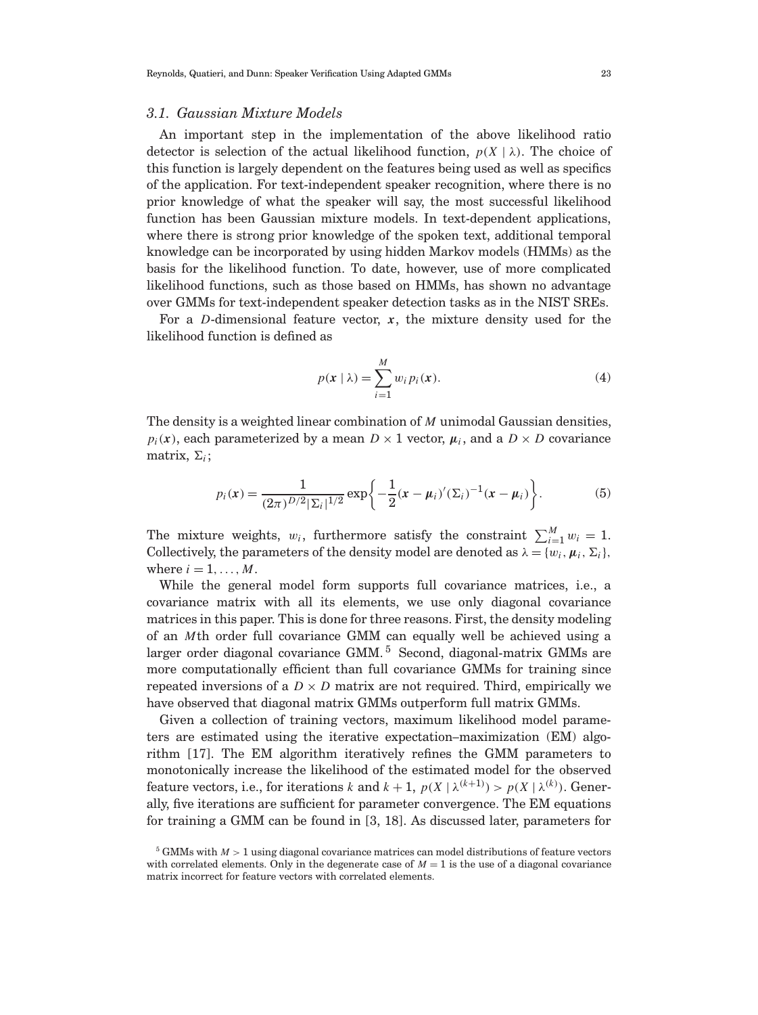#### *3.1. Gaussian Mixture Models*

An important step in the implementation of the above likelihood ratio detector is selection of the actual likelihood function,  $p(X | \lambda)$ . The choice of this function is largely dependent on the features being used as well as specifics of the application. For text-independent speaker recognition, where there is no prior knowledge of what the speaker will say, the most successful likelihood function has been Gaussian mixture models. In text-dependent applications, where there is strong prior knowledge of the spoken text, additional temporal knowledge can be incorporated by using hidden Markov models (HMMs) as the basis for the likelihood function. To date, however, use of more complicated likelihood functions, such as those based on HMMs, has shown no advantage over GMMs for text-independent speaker detection tasks as in the NIST SREs.

For a *D*-dimensional feature vector,  $x$ , the mixture density used for the likelihood function is defined as

$$
p(\mathbf{x} \mid \lambda) = \sum_{i=1}^{M} w_i p_i(\mathbf{x}).
$$
\n(4)

The density is a weighted linear combination of *M* unimodal Gaussian densities,  $p_i(\mathbf{x})$ , each parameterized by a mean  $D \times 1$  vector,  $\mu_i$ , and a  $D \times D$  covariance matrix,  $\Sigma_i$ ;

$$
p_i(x) = \frac{1}{(2\pi)^{D/2} |\Sigma_i|^{1/2}} \exp\left\{-\frac{1}{2}(x - \mu_i)'(\Sigma_i)^{-1}(x - \mu_i)\right\}.
$$
 (5)

The mixture weights,  $w_i$ , furthermore satisfy the constraint  $\sum_{i=1}^{M} w_i = 1$ . Collectively, the parameters of the density model are denoted as  $\lambda = \{w_i, \mu_i, \Sigma_i\}$ , where  $i = 1, \ldots, M$ .

While the general model form supports full covariance matrices, i.e., a covariance matrix with all its elements, we use only diagonal covariance matrices in this paper. This is done for three reasons. First, the density modeling of an *M*th order full covariance GMM can equally well be achieved using a larger order diagonal covariance  $GMM$ <sup>5</sup> Second, diagonal-matrix  $GMMs$  are more computationally efficient than full covariance GMMs for training since repeated inversions of a  $D \times D$  matrix are not required. Third, empirically we have observed that diagonal matrix GMMs outperform full matrix GMMs.

Given a collection of training vectors, maximum likelihood model parameters are estimated using the iterative expectation–maximization (EM) algorithm [17]. The EM algorithm iteratively refines the GMM parameters to monotonically increase the likelihood of the estimated model for the observed feature vectors, i.e., for iterations *k* and  $k + 1$ ,  $p(X | \lambda^{(k+1)}) > p(X | \lambda^{(k)})$ . Generally, five iterations are sufficient for parameter convergence. The EM equations for training a GMM can be found in [3, 18]. As discussed later, parameters for

 $5$  GMMs with  $M > 1$  using diagonal covariance matrices can model distributions of feature vectors with correlated elements. Only in the degenerate case of  $M = 1$  is the use of a diagonal covariance matrix incorrect for feature vectors with correlated elements.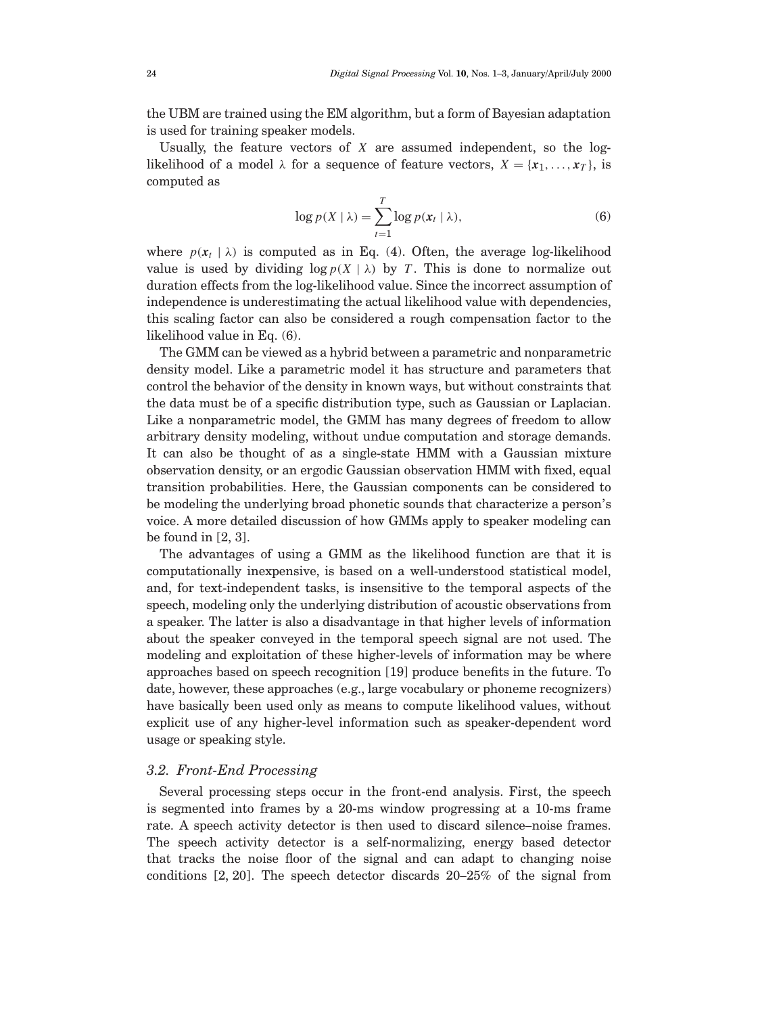the UBM are trained using the EM algorithm, but a form of Bayesian adaptation is used for training speaker models.

Usually, the feature vectors of *X* are assumed independent, so the loglikelihood of a model  $\lambda$  for a sequence of feature vectors,  $X = \{x_1, \ldots, x_T\}$ , is computed as

$$
\log p(X \mid \lambda) = \sum_{t=1}^{T} \log p(x_t \mid \lambda),\tag{6}
$$

where  $p(x_t | \lambda)$  is computed as in Eq. (4). Often, the average log-likelihood value is used by dividing  $\log p(X | \lambda)$  by *T*. This is done to normalize out duration effects from the log-likelihood value. Since the incorrect assumption of independence is underestimating the actual likelihood value with dependencies, this scaling factor can also be considered a rough compensation factor to the likelihood value in Eq. (6).

The GMM can be viewed as a hybrid between a parametric and nonparametric density model. Like a parametric model it has structure and parameters that control the behavior of the density in known ways, but without constraints that the data must be of a specific distribution type, such as Gaussian or Laplacian. Like a nonparametric model, the GMM has many degrees of freedom to allow arbitrary density modeling, without undue computation and storage demands. It can also be thought of as a single-state HMM with a Gaussian mixture observation density, or an ergodic Gaussian observation HMM with fixed, equal transition probabilities. Here, the Gaussian components can be considered to be modeling the underlying broad phonetic sounds that characterize a person's voice. A more detailed discussion of how GMMs apply to speaker modeling can be found in  $[2, 3]$ .

The advantages of using a GMM as the likelihood function are that it is computationally inexpensive, is based on a well-understood statistical model, and, for text-independent tasks, is insensitive to the temporal aspects of the speech, modeling only the underlying distribution of acoustic observations from a speaker. The latter is also a disadvantage in that higher levels of information about the speaker conveyed in the temporal speech signal are not used. The modeling and exploitation of these higher-levels of information may be where approaches based on speech recognition [19] produce benefits in the future. To date, however, these approaches (e.g., large vocabulary or phoneme recognizers) have basically been used only as means to compute likelihood values, without explicit use of any higher-level information such as speaker-dependent word usage or speaking style.

#### *3.2. Front-End Processing*

Several processing steps occur in the front-end analysis. First, the speech is segmented into frames by a 20-ms window progressing at a 10-ms frame rate. A speech activity detector is then used to discard silence–noise frames. The speech activity detector is a self-normalizing, energy based detector that tracks the noise floor of the signal and can adapt to changing noise conditions  $[2, 20]$ . The speech detector discards  $20-25\%$  of the signal from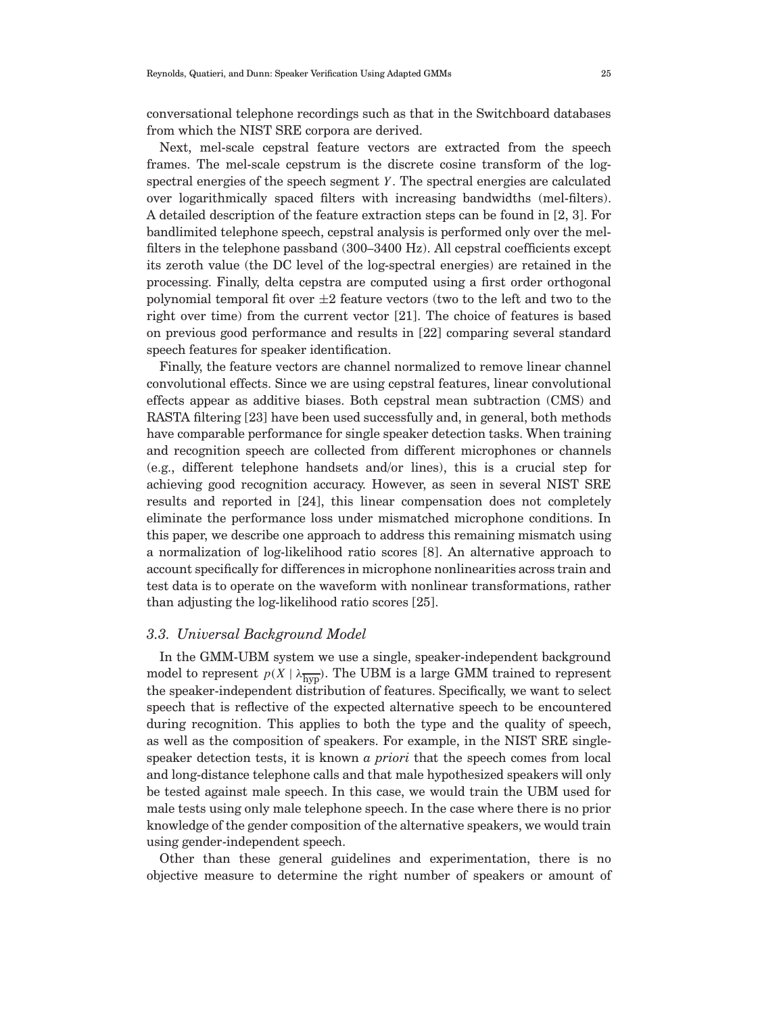conversational telephone recordings such as that in the Switchboard databases from which the NIST SRE corpora are derived.

Next, mel-scale cepstral feature vectors are extracted from the speech frames. The mel-scale cepstrum is the discrete cosine transform of the logspectral energies of the speech segment *Y* . The spectral energies are calculated over logarithmically spaced filters with increasing bandwidths (mel-filters). A detailed description of the feature extraction steps can be found in [2, 3]. For bandlimited telephone speech, cepstral analysis is performed only over the melfilters in the telephone passband (300–3400 Hz). All cepstral coefficients except its zeroth value (the DC level of the log-spectral energies) are retained in the processing. Finally, delta cepstra are computed using a first order orthogonal polynomial temporal fit over  $\pm 2$  feature vectors (two to the left and two to the right over time) from the current vector [21]. The choice of features is based on previous good performance and results in [22] comparing several standard speech features for speaker identification.

Finally, the feature vectors are channel normalized to remove linear channel convolutional effects. Since we are using cepstral features, linear convolutional effects appear as additive biases. Both cepstral mean subtraction (CMS) and RASTA filtering [23] have been used successfully and, in general, both methods have comparable performance for single speaker detection tasks. When training and recognition speech are collected from different microphones or channels (e.g., different telephone handsets and/or lines), this is a crucial step for achieving good recognition accuracy. However, as seen in several NIST SRE results and reported in [24], this linear compensation does not completely eliminate the performance loss under mismatched microphone conditions. In this paper, we describe one approach to address this remaining mismatch using a normalization of log-likelihood ratio scores [8]. An alternative approach to account specifically for differences in microphone nonlinearities across train and test data is to operate on the waveform with nonlinear transformations, rather than adjusting the log-likelihood ratio scores [25].

#### *3.3. Universal Background Model*

In the GMM-UBM system we use a single, speaker-independent background model to represent  $p(X | \lambda_{\overline{\text{hyp}}})$ . The UBM is a large GMM trained to represent the speaker-independent distribution of features. Specifically, we want to select speech that is reflective of the expected alternative speech to be encountered during recognition. This applies to both the type and the quality of speech, as well as the composition of speakers. For example, in the NIST SRE singlespeaker detection tests, it is known *a priori* that the speech comes from local and long-distance telephone calls and that male hypothesized speakers will only be tested against male speech. In this case, we would train the UBM used for male tests using only male telephone speech. In the case where there is no prior knowledge of the gender composition of the alternative speakers, we would train using gender-independent speech.

Other than these general guidelines and experimentation, there is no objective measure to determine the right number of speakers or amount of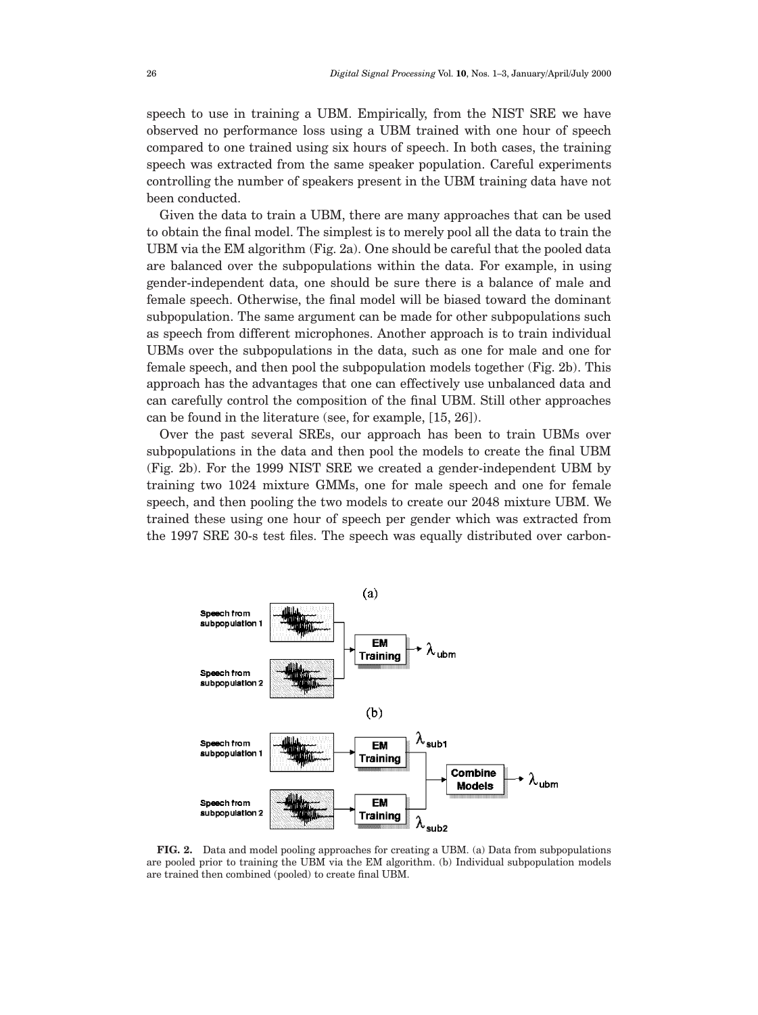speech to use in training a UBM. Empirically, from the NIST SRE we have observed no performance loss using a UBM trained with one hour of speech compared to one trained using six hours of speech. In both cases, the training speech was extracted from the same speaker population. Careful experiments controlling the number of speakers present in the UBM training data have not been conducted.

Given the data to train a UBM, there are many approaches that can be used to obtain the final model. The simplest is to merely pool all the data to train the UBM via the EM algorithm (Fig. 2a). One should be careful that the pooled data are balanced over the subpopulations within the data. For example, in using gender-independent data, one should be sure there is a balance of male and female speech. Otherwise, the final model will be biased toward the dominant subpopulation. The same argument can be made for other subpopulations such as speech from different microphones. Another approach is to train individual UBMs over the subpopulations in the data, such as one for male and one for female speech, and then pool the subpopulation models together (Fig. 2b). This approach has the advantages that one can effectively use unbalanced data and can carefully control the composition of the final UBM. Still other approaches can be found in the literature (see, for example, [15, 26]).

Over the past several SREs, our approach has been to train UBMs over subpopulations in the data and then pool the models to create the final UBM (Fig. 2b). For the 1999 NIST SRE we created a gender-independent UBM by training two 1024 mixture GMMs, one for male speech and one for female speech, and then pooling the two models to create our 2048 mixture UBM. We trained these using one hour of speech per gender which was extracted from the 1997 SRE 30-s test files. The speech was equally distributed over carbon-



**FIG. 2.** Data and model pooling approaches for creating a UBM. (a) Data from subpopulations are pooled prior to training the UBM via the EM algorithm. (b) Individual subpopulation models are trained then combined (pooled) to create final UBM.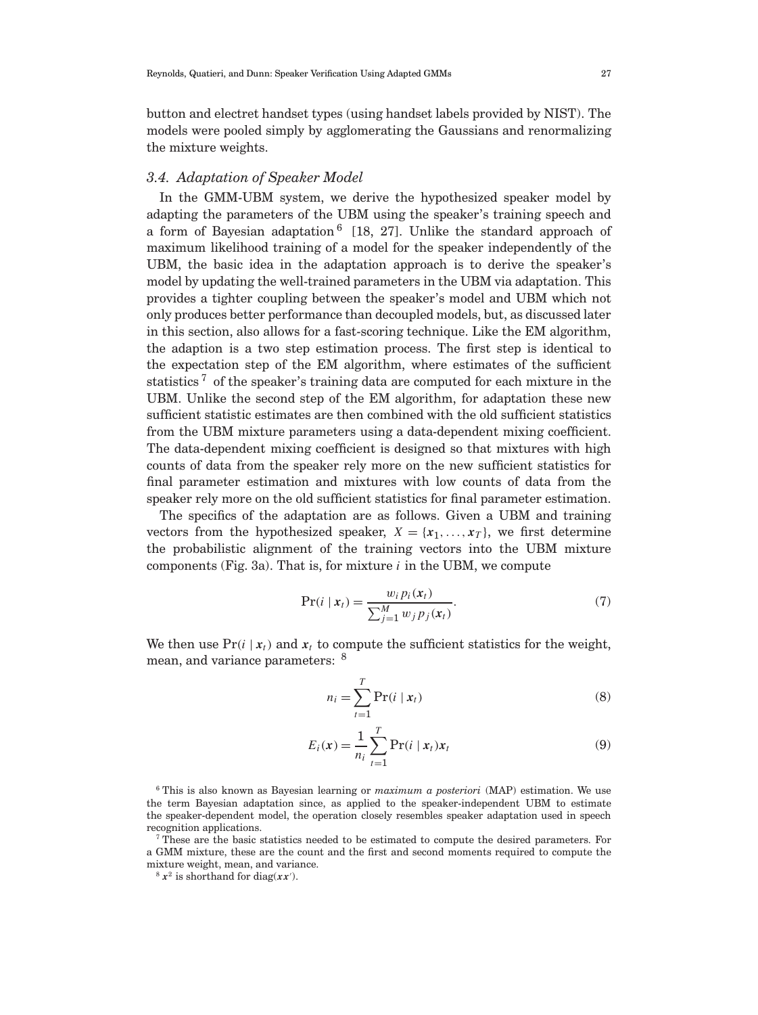button and electret handset types (using handset labels provided by NIST). The models were pooled simply by agglomerating the Gaussians and renormalizing the mixture weights.

#### *3.4. Adaptation of Speaker Model*

In the GMM-UBM system, we derive the hypothesized speaker model by adapting the parameters of the UBM using the speaker's training speech and a form of Bayesian adaptation  $6$  [18, 27]. Unlike the standard approach of maximum likelihood training of a model for the speaker independently of the UBM, the basic idea in the adaptation approach is to derive the speaker's model by updating the well-trained parameters in the UBM via adaptation. This provides a tighter coupling between the speaker's model and UBM which not only produces better performance than decoupled models, but, as discussed later in this section, also allows for a fast-scoring technique. Like the EM algorithm, the adaption is a two step estimation process. The first step is identical to the expectation step of the EM algorithm, where estimates of the sufficient statistics<sup>7</sup> of the speaker's training data are computed for each mixture in the UBM. Unlike the second step of the EM algorithm, for adaptation these new sufficient statistic estimates are then combined with the old sufficient statistics from the UBM mixture parameters using a data-dependent mixing coefficient. The data-dependent mixing coefficient is designed so that mixtures with high counts of data from the speaker rely more on the new sufficient statistics for final parameter estimation and mixtures with low counts of data from the speaker rely more on the old sufficient statistics for final parameter estimation.

The specifics of the adaptation are as follows. Given a UBM and training vectors from the hypothesized speaker,  $X = \{x_1, \ldots, x_T\}$ , we first determine the probabilistic alignment of the training vectors into the UBM mixture components (Fig. 3a). That is, for mixture *i* in the UBM, we compute

$$
\Pr(i \mid x_t) = \frac{w_i p_i(x_t)}{\sum_{j=1}^M w_j p_j(x_t)}.\tag{7}
$$

We then use  $Pr(i | x_t)$  and  $x_t$  to compute the sufficient statistics for the weight, mean, and variance parameters:  $8$ 

$$
n_i = \sum_{t=1}^{T} \Pr(i \mid \mathbf{x}_t) \tag{8}
$$

$$
E_i(x) = \frac{1}{n_i} \sum_{t=1}^{T} \Pr(i \mid x_t) x_t
$$
 (9)

<sup>6</sup> This is also known as Bayesian learning or *maximum a posteriori* (MAP) estimation. We use the term Bayesian adaptation since, as applied to the speaker-independent UBM to estimate the speaker-dependent model, the operation closely resembles speaker adaptation used in speech recognition applications.

<sup>7</sup> These are the basic statistics needed to be estimated to compute the desired parameters. For a GMM mixture, these are the count and the first and second moments required to compute the mixture weight, mean, and variance.

 $8x^2$  is shorthand for diag( $xx'$ ).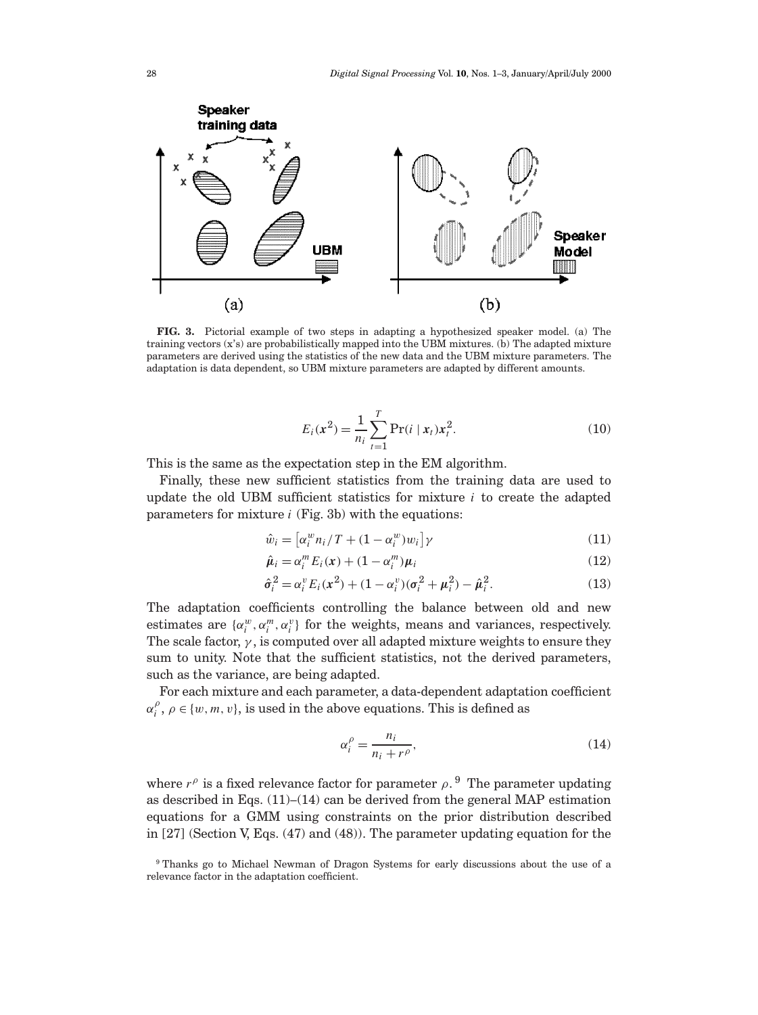

**FIG. 3.** Pictorial example of two steps in adapting a hypothesized speaker model. (a) The training vectors (x's) are probabilistically mapped into the UBM mixtures. (b) The adapted mixture parameters are derived using the statistics of the new data and the UBM mixture parameters. The adaptation is data dependent, so UBM mixture parameters are adapted by different amounts.

$$
E_i(x^2) = \frac{1}{n_i} \sum_{t=1}^{T} \Pr(i \mid x_t) x_t^2.
$$
 (10)

This is the same as the expectation step in the EM algorithm.

Finally, these new sufficient statistics from the training data are used to update the old UBM sufficient statistics for mixture *i* to create the adapted parameters for mixture *i* (Fig. 3b) with the equations:

$$
\hat{w}_i = \left[ \alpha_i^w n_i / T + (1 - \alpha_i^w) w_i \right] \gamma \tag{11}
$$

$$
\hat{\boldsymbol{\mu}}_i = \alpha_i^m E_i(\mathbf{x}) + (1 - \alpha_i^m) \boldsymbol{\mu}_i \tag{12}
$$

$$
\hat{\sigma}_i^2 = \alpha_i^v E_i(x^2) + (1 - \alpha_i^v)(\sigma_i^2 + \mu_i^2) - \hat{\mu}_i^2.
$$
 (13)

The adaptation coefficients controlling the balance between old and new estimates are  $\{\alpha_i^w, \alpha_i^m, \alpha_i^v\}$  for the weights, means and variances, respectively. The scale factor,  $\gamma$ , is computed over all adapted mixture weights to ensure they sum to unity. Note that the sufficient statistics, not the derived parameters, such as the variance, are being adapted.

For each mixture and each parameter, a data-dependent adaptation coefficient  $\alpha_i^{\rho}$ ,  $\rho \in \{w, m, v\}$ , is used in the above equations. This is defined as

$$
\alpha_i^{\rho} = \frac{n_i}{n_i + r^{\rho}},\tag{14}
$$

where  $r^{\rho}$  is a fixed relevance factor for parameter  $\rho$ .<sup>9</sup> The parameter updating as described in Eqs.  $(11)$ – $(14)$  can be derived from the general MAP estimation equations for a GMM using constraints on the prior distribution described in [27] (Section V, Eqs. (47) and (48)). The parameter updating equation for the

<sup>9</sup> Thanks go to Michael Newman of Dragon Systems for early discussions about the use of a relevance factor in the adaptation coefficient.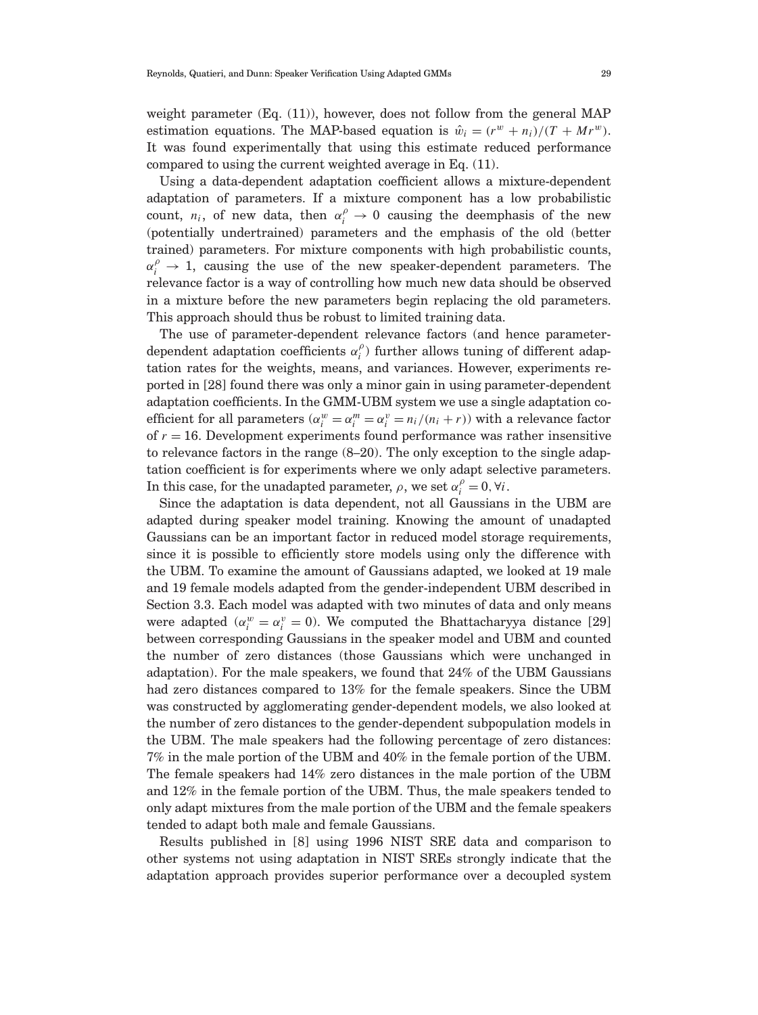weight parameter  $(Eq. (11))$ , however, does not follow from the general MAP estimation equations. The MAP-based equation is  $\hat{w}_i = (r^w + n_i)/(T + Mr^w)$ . It was found experimentally that using this estimate reduced performance compared to using the current weighted average in Eq. (11).

Using a data-dependent adaptation coefficient allows a mixture-dependent adaptation of parameters. If a mixture component has a low probabilistic count,  $n_i$ , of new data, then  $\alpha_i^{\rho} \to 0$  causing the deemphasis of the new (potentially undertrained) parameters and the emphasis of the old (better trained) parameters. For mixture components with high probabilistic counts,  $\alpha_i^{\rho} \rightarrow 1$ , causing the use of the new speaker-dependent parameters. The relevance factor is a way of controlling how much new data should be observed in a mixture before the new parameters begin replacing the old parameters. This approach should thus be robust to limited training data.

The use of parameter-dependent relevance factors (and hence parameterdependent adaptation coefficients  $\alpha_i^{\rho}$ ) further allows tuning of different adaptation rates for the weights, means, and variances. However, experiments reported in [28] found there was only a minor gain in using parameter-dependent adaptation coefficients. In the GMM-UBM system we use a single adaptation coefficient for all parameters  $(\alpha_i^w = \alpha_i^m = \alpha_i^v = n_i/(n_i + r))$  with a relevance factor of  $r = 16$ . Development experiments found performance was rather insensitive to relevance factors in the range (8–20). The only exception to the single adaptation coefficient is for experiments where we only adapt selective parameters. In this case, for the unadapted parameter,  $\rho$ , we set  $\alpha_i^{\rho} = 0$ ,  $\forall i$ .

Since the adaptation is data dependent, not all Gaussians in the UBM are adapted during speaker model training. Knowing the amount of unadapted Gaussians can be an important factor in reduced model storage requirements, since it is possible to efficiently store models using only the difference with the UBM. To examine the amount of Gaussians adapted, we looked at 19 male and 19 female models adapted from the gender-independent UBM described in Section 3.3. Each model was adapted with two minutes of data and only means were adapted  $(\alpha_i^w = \alpha_i^v = 0)$ . We computed the Bhattacharyya distance [29] between corresponding Gaussians in the speaker model and UBM and counted the number of zero distances (those Gaussians which were unchanged in adaptation). For the male speakers, we found that 24% of the UBM Gaussians had zero distances compared to 13% for the female speakers. Since the UBM was constructed by agglomerating gender-dependent models, we also looked at the number of zero distances to the gender-dependent subpopulation models in the UBM. The male speakers had the following percentage of zero distances: 7% in the male portion of the UBM and 40% in the female portion of the UBM. The female speakers had 14% zero distances in the male portion of the UBM and 12% in the female portion of the UBM. Thus, the male speakers tended to only adapt mixtures from the male portion of the UBM and the female speakers tended to adapt both male and female Gaussians.

Results published in [8] using 1996 NIST SRE data and comparison to other systems not using adaptation in NIST SREs strongly indicate that the adaptation approach provides superior performance over a decoupled system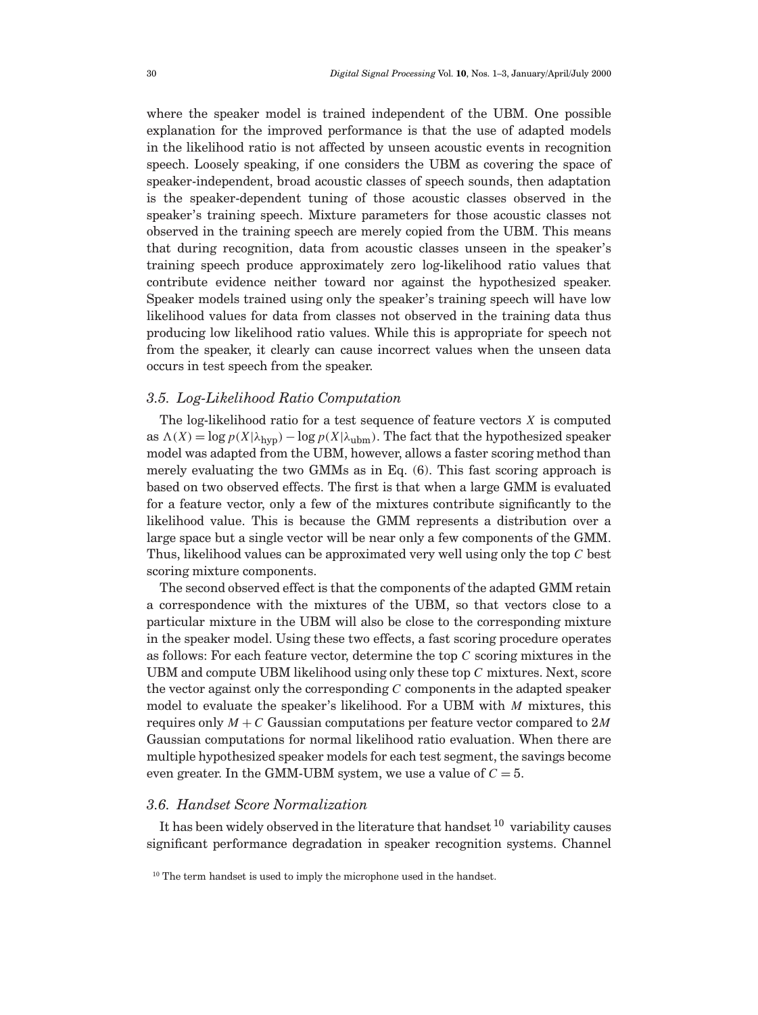where the speaker model is trained independent of the UBM. One possible explanation for the improved performance is that the use of adapted models in the likelihood ratio is not affected by unseen acoustic events in recognition speech. Loosely speaking, if one considers the UBM as covering the space of speaker-independent, broad acoustic classes of speech sounds, then adaptation is the speaker-dependent tuning of those acoustic classes observed in the speaker's training speech. Mixture parameters for those acoustic classes not observed in the training speech are merely copied from the UBM. This means that during recognition, data from acoustic classes unseen in the speaker's training speech produce approximately zero log-likelihood ratio values that contribute evidence neither toward nor against the hypothesized speaker. Speaker models trained using only the speaker's training speech will have low likelihood values for data from classes not observed in the training data thus producing low likelihood ratio values. While this is appropriate for speech not from the speaker, it clearly can cause incorrect values when the unseen data occurs in test speech from the speaker.

#### *3.5. Log-Likelihood Ratio Computation*

The log-likelihood ratio for a test sequence of feature vectors *X* is computed as  $\Delta(X) = \log p(X|\lambda_{\text{hvp}}) - \log p(X|\lambda_{\text{ubm}})$ . The fact that the hypothesized speaker model was adapted from the UBM, however, allows a faster scoring method than merely evaluating the two GMMs as in Eq. (6). This fast scoring approach is based on two observed effects. The first is that when a large GMM is evaluated for a feature vector, only a few of the mixtures contribute significantly to the likelihood value. This is because the GMM represents a distribution over a large space but a single vector will be near only a few components of the GMM. Thus, likelihood values can be approximated very well using only the top *C* best scoring mixture components.

The second observed effect is that the components of the adapted GMM retain a correspondence with the mixtures of the UBM, so that vectors close to a particular mixture in the UBM will also be close to the corresponding mixture in the speaker model. Using these two effects, a fast scoring procedure operates as follows: For each feature vector, determine the top *C* scoring mixtures in the UBM and compute UBM likelihood using only these top *C* mixtures. Next, score the vector against only the corresponding *C* components in the adapted speaker model to evaluate the speaker's likelihood. For a UBM with *M* mixtures, this requires only *M* + *C* Gaussian computations per feature vector compared to 2*M* Gaussian computations for normal likelihood ratio evaluation. When there are multiple hypothesized speaker models for each test segment, the savings become even greater. In the GMM-UBM system, we use a value of  $C = 5$ .

#### *3.6. Handset Score Normalization*

It has been widely observed in the literature that handset  $10$  variability causes significant performance degradation in speaker recognition systems. Channel

 $10$  The term handset is used to imply the microphone used in the handset.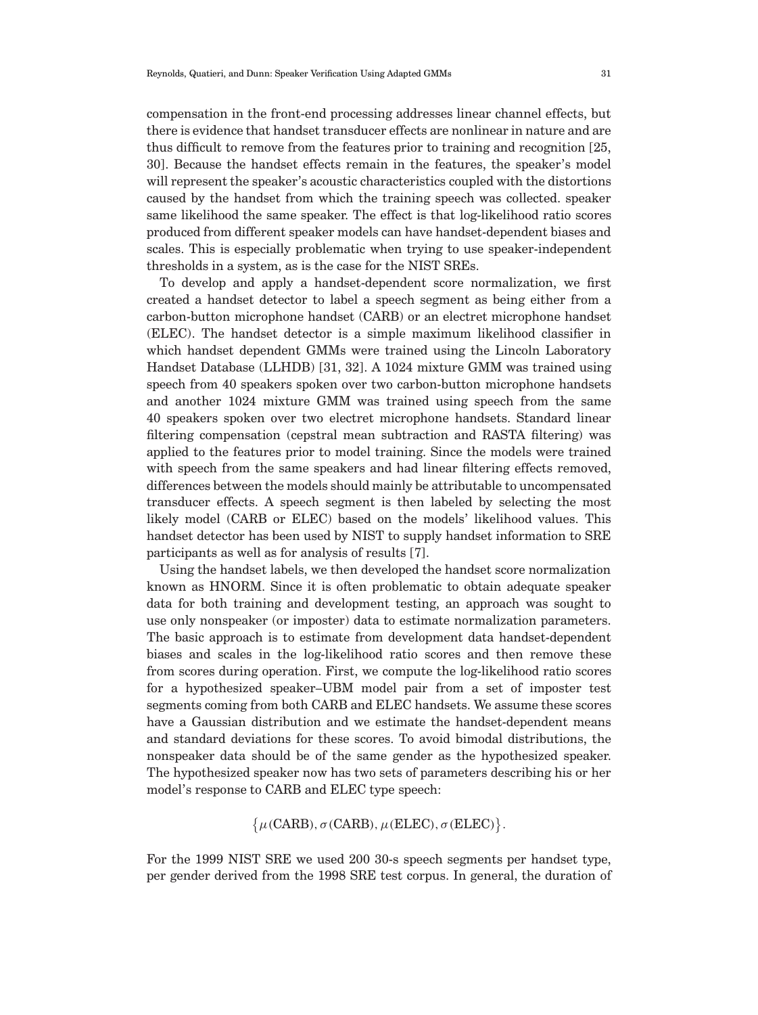compensation in the front-end processing addresses linear channel effects, but there is evidence that handset transducer effects are nonlinear in nature and are thus difficult to remove from the features prior to training and recognition [25, 30]. Because the handset effects remain in the features, the speaker's model will represent the speaker's acoustic characteristics coupled with the distortions caused by the handset from which the training speech was collected. speaker same likelihood the same speaker. The effect is that log-likelihood ratio scores produced from different speaker models can have handset-dependent biases and scales. This is especially problematic when trying to use speaker-independent thresholds in a system, as is the case for the NIST SREs.

To develop and apply a handset-dependent score normalization, we first created a handset detector to label a speech segment as being either from a carbon-button microphone handset (CARB) or an electret microphone handset (ELEC). The handset detector is a simple maximum likelihood classifier in which handset dependent GMMs were trained using the Lincoln Laboratory Handset Database (LLHDB) [31, 32]. A 1024 mixture GMM was trained using speech from 40 speakers spoken over two carbon-button microphone handsets and another 1024 mixture GMM was trained using speech from the same 40 speakers spoken over two electret microphone handsets. Standard linear filtering compensation (cepstral mean subtraction and RASTA filtering) was applied to the features prior to model training. Since the models were trained with speech from the same speakers and had linear filtering effects removed, differences between the models should mainly be attributable to uncompensated transducer effects. A speech segment is then labeled by selecting the most likely model (CARB or ELEC) based on the models' likelihood values. This handset detector has been used by NIST to supply handset information to SRE participants as well as for analysis of results [7].

Using the handset labels, we then developed the handset score normalization known as HNORM. Since it is often problematic to obtain adequate speaker data for both training and development testing, an approach was sought to use only nonspeaker (or imposter) data to estimate normalization parameters. The basic approach is to estimate from development data handset-dependent biases and scales in the log-likelihood ratio scores and then remove these from scores during operation. First, we compute the log-likelihood ratio scores for a hypothesized speaker–UBM model pair from a set of imposter test segments coming from both CARB and ELEC handsets. We assume these scores have a Gaussian distribution and we estimate the handset-dependent means and standard deviations for these scores. To avoid bimodal distributions, the nonspeaker data should be of the same gender as the hypothesized speaker. The hypothesized speaker now has two sets of parameters describing his or her model's response to CARB and ELEC type speech:

 $\{\mu$ (CARB),  $\sigma$ (CARB),  $\mu$ (ELEC),  $\sigma$ (ELEC)  $\}.$ 

For the 1999 NIST SRE we used 200 30-s speech segments per handset type, per gender derived from the 1998 SRE test corpus. In general, the duration of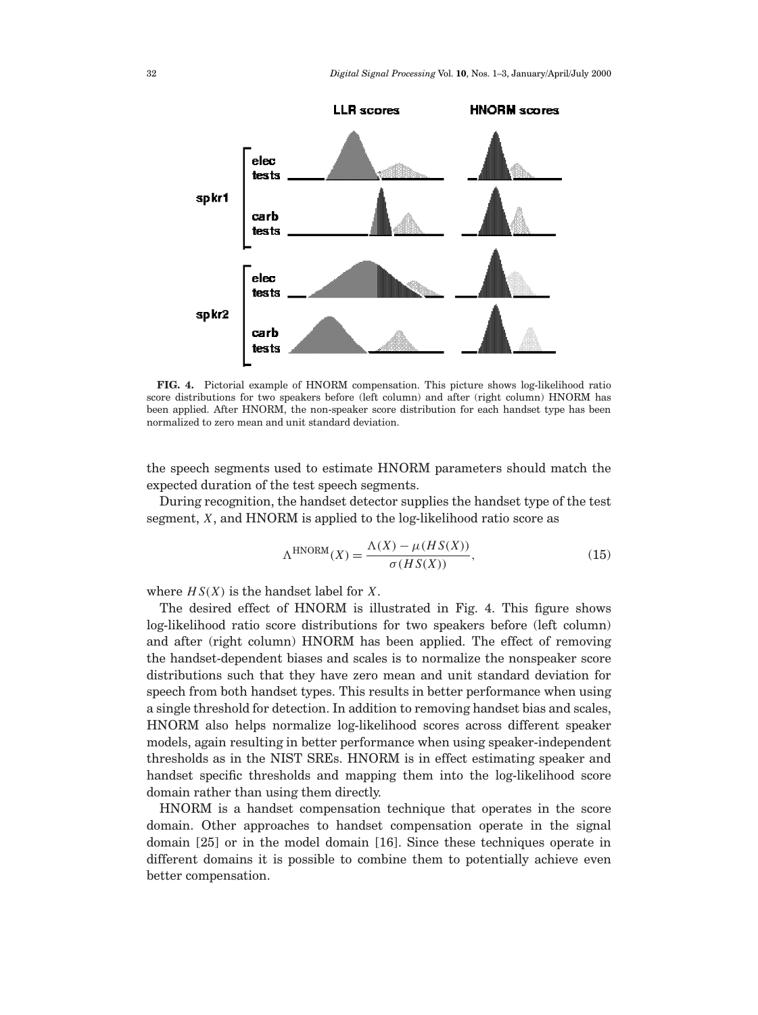

**FIG. 4.** Pictorial example of HNORM compensation. This picture shows log-likelihood ratio score distributions for two speakers before (left column) and after (right column) HNORM has been applied. After HNORM, the non-speaker score distribution for each handset type has been normalized to zero mean and unit standard deviation.

the speech segments used to estimate HNORM parameters should match the expected duration of the test speech segments.

During recognition, the handset detector supplies the handset type of the test segment, *X*, and HNORM is applied to the log-likelihood ratio score as

$$
\Lambda^{\text{HNORM}}(X) = \frac{\Lambda(X) - \mu(HS(X))}{\sigma(HS(X))},\tag{15}
$$

where *H S(X)* is the handset label for *X*.

The desired effect of HNORM is illustrated in Fig. 4. This figure shows log-likelihood ratio score distributions for two speakers before (left column) and after (right column) HNORM has been applied. The effect of removing the handset-dependent biases and scales is to normalize the nonspeaker score distributions such that they have zero mean and unit standard deviation for speech from both handset types. This results in better performance when using a single threshold for detection. In addition to removing handset bias and scales, HNORM also helps normalize log-likelihood scores across different speaker models, again resulting in better performance when using speaker-independent thresholds as in the NIST SREs. HNORM is in effect estimating speaker and handset specific thresholds and mapping them into the log-likelihood score domain rather than using them directly.

HNORM is a handset compensation technique that operates in the score domain. Other approaches to handset compensation operate in the signal domain [25] or in the model domain [16]. Since these techniques operate in different domains it is possible to combine them to potentially achieve even better compensation.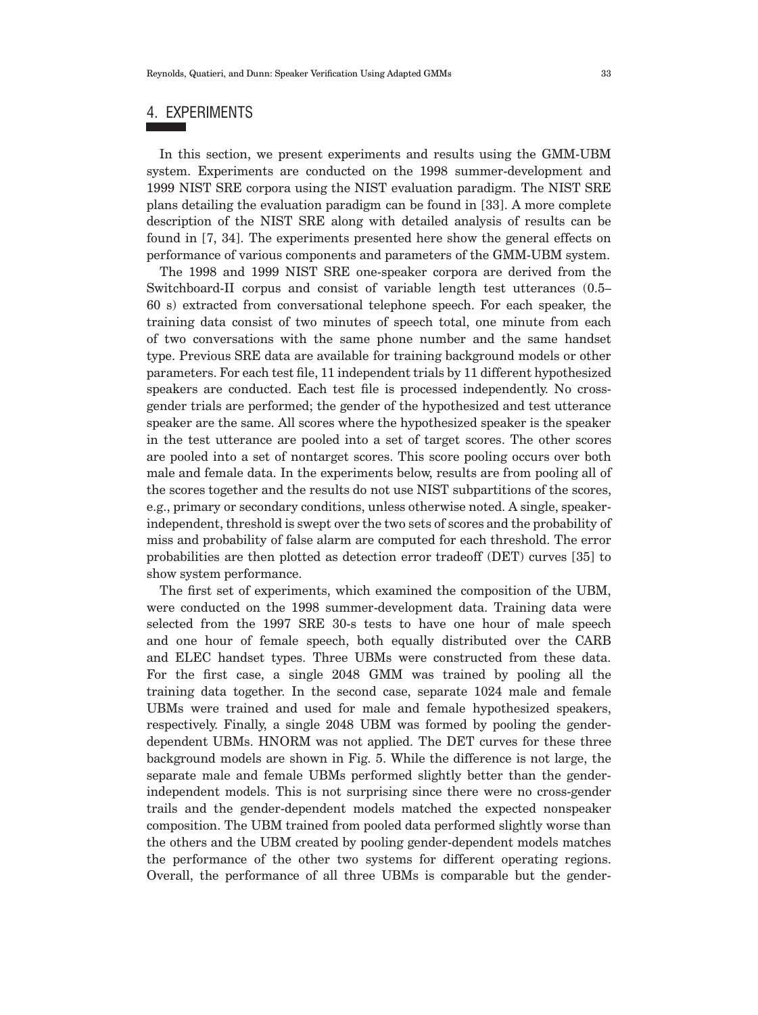### 4. EXPERIMENTS

In this section, we present experiments and results using the GMM-UBM system. Experiments are conducted on the 1998 summer-development and 1999 NIST SRE corpora using the NIST evaluation paradigm. The NIST SRE plans detailing the evaluation paradigm can be found in [33]. A more complete description of the NIST SRE along with detailed analysis of results can be found in [7, 34]. The experiments presented here show the general effects on performance of various components and parameters of the GMM-UBM system.

The 1998 and 1999 NIST SRE one-speaker corpora are derived from the Switchboard-II corpus and consist of variable length test utterances (0.5– 60 s) extracted from conversational telephone speech. For each speaker, the training data consist of two minutes of speech total, one minute from each of two conversations with the same phone number and the same handset type. Previous SRE data are available for training background models or other parameters. For each test file, 11 independent trials by 11 different hypothesized speakers are conducted. Each test file is processed independently. No crossgender trials are performed; the gender of the hypothesized and test utterance speaker are the same. All scores where the hypothesized speaker is the speaker in the test utterance are pooled into a set of target scores. The other scores are pooled into a set of nontarget scores. This score pooling occurs over both male and female data. In the experiments below, results are from pooling all of the scores together and the results do not use NIST subpartitions of the scores, e.g., primary or secondary conditions, unless otherwise noted. A single, speakerindependent, threshold is swept over the two sets of scores and the probability of miss and probability of false alarm are computed for each threshold. The error probabilities are then plotted as detection error tradeoff (DET) curves [35] to show system performance.

The first set of experiments, which examined the composition of the UBM, were conducted on the 1998 summer-development data. Training data were selected from the 1997 SRE 30-s tests to have one hour of male speech and one hour of female speech, both equally distributed over the CARB and ELEC handset types. Three UBMs were constructed from these data. For the first case, a single 2048 GMM was trained by pooling all the training data together. In the second case, separate 1024 male and female UBMs were trained and used for male and female hypothesized speakers, respectively. Finally, a single 2048 UBM was formed by pooling the genderdependent UBMs. HNORM was not applied. The DET curves for these three background models are shown in Fig. 5. While the difference is not large, the separate male and female UBMs performed slightly better than the genderindependent models. This is not surprising since there were no cross-gender trails and the gender-dependent models matched the expected nonspeaker composition. The UBM trained from pooled data performed slightly worse than the others and the UBM created by pooling gender-dependent models matches the performance of the other two systems for different operating regions. Overall, the performance of all three UBMs is comparable but the gender-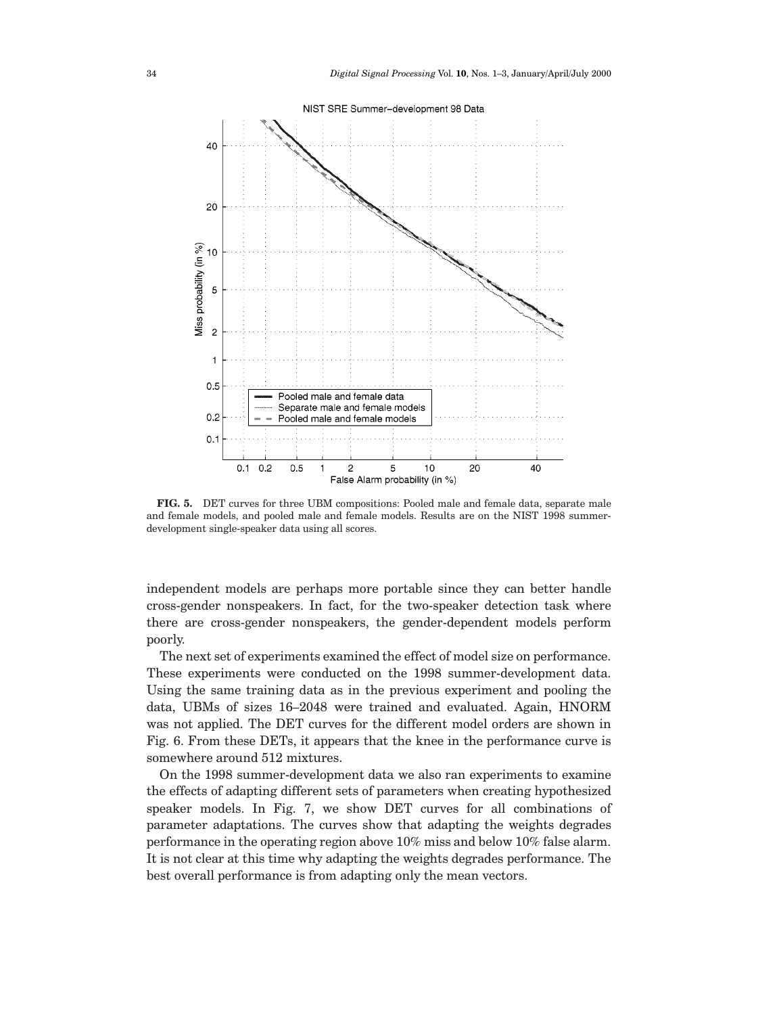

**FIG. 5.** DET curves for three UBM compositions: Pooled male and female data, separate male and female models, and pooled male and female models. Results are on the NIST 1998 summerdevelopment single-speaker data using all scores.

independent models are perhaps more portable since they can better handle cross-gender nonspeakers. In fact, for the two-speaker detection task where there are cross-gender nonspeakers, the gender-dependent models perform poorly.

The next set of experiments examined the effect of model size on performance. These experiments were conducted on the 1998 summer-development data. Using the same training data as in the previous experiment and pooling the data, UBMs of sizes 16–2048 were trained and evaluated. Again, HNORM was not applied. The DET curves for the different model orders are shown in Fig. 6. From these DETs, it appears that the knee in the performance curve is somewhere around 512 mixtures.

On the 1998 summer-development data we also ran experiments to examine the effects of adapting different sets of parameters when creating hypothesized speaker models. In Fig. 7, we show DET curves for all combinations of parameter adaptations. The curves show that adapting the weights degrades performance in the operating region above 10% miss and below 10% false alarm. It is not clear at this time why adapting the weights degrades performance. The best overall performance is from adapting only the mean vectors.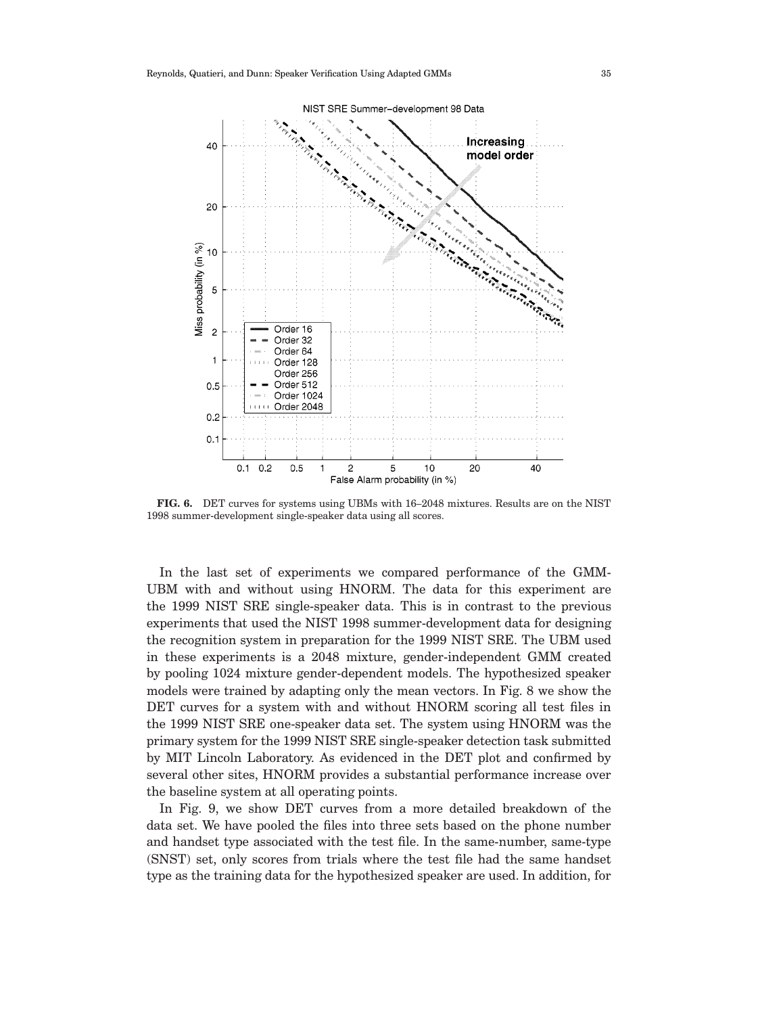

**FIG. 6.** DET curves for systems using UBMs with 16–2048 mixtures. Results are on the NIST 1998 summer-development single-speaker data using all scores.

In the last set of experiments we compared performance of the GMM-UBM with and without using HNORM. The data for this experiment are the 1999 NIST SRE single-speaker data. This is in contrast to the previous experiments that used the NIST 1998 summer-development data for designing the recognition system in preparation for the 1999 NIST SRE. The UBM used in these experiments is a 2048 mixture, gender-independent GMM created by pooling 1024 mixture gender-dependent models. The hypothesized speaker models were trained by adapting only the mean vectors. In Fig. 8 we show the DET curves for a system with and without HNORM scoring all test files in the 1999 NIST SRE one-speaker data set. The system using HNORM was the primary system for the 1999 NIST SRE single-speaker detection task submitted by MIT Lincoln Laboratory. As evidenced in the DET plot and confirmed by several other sites, HNORM provides a substantial performance increase over the baseline system at all operating points.

In Fig. 9, we show DET curves from a more detailed breakdown of the data set. We have pooled the files into three sets based on the phone number and handset type associated with the test file. In the same-number, same-type (SNST) set, only scores from trials where the test file had the same handset type as the training data for the hypothesized speaker are used. In addition, for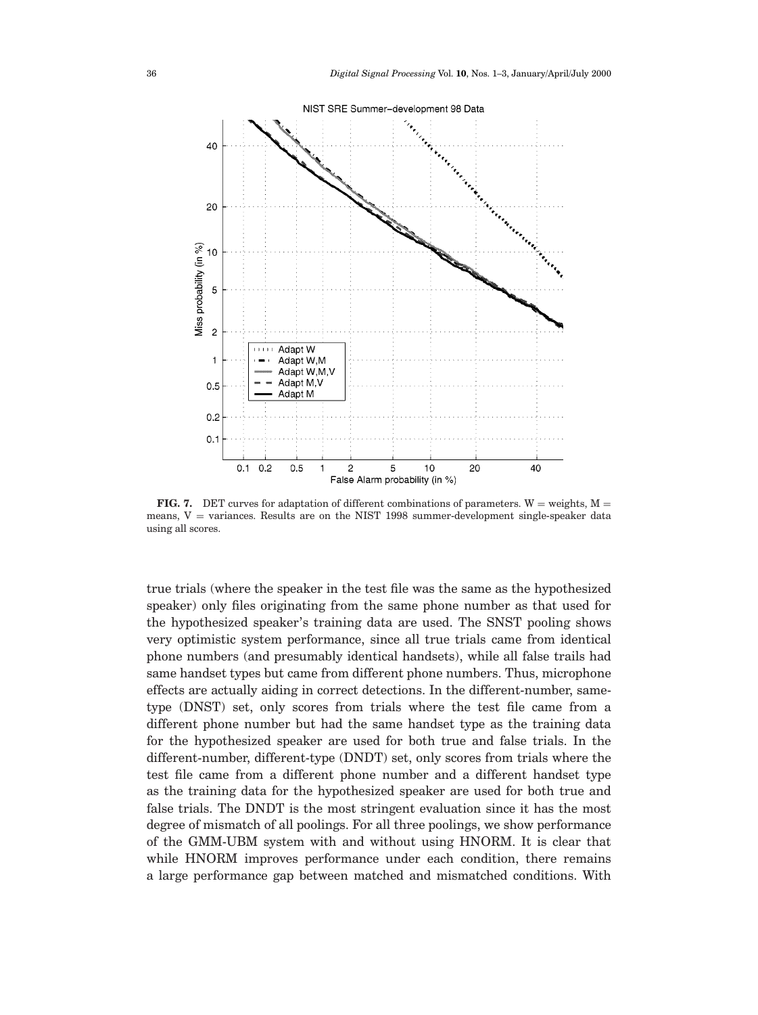

**FIG. 7.** DET curves for adaptation of different combinations of parameters. W = weights,  $M =$ means,  $V =$  variances. Results are on the NIST 1998 summer-development single-speaker data using all scores.

true trials (where the speaker in the test file was the same as the hypothesized speaker) only files originating from the same phone number as that used for the hypothesized speaker's training data are used. The SNST pooling shows very optimistic system performance, since all true trials came from identical phone numbers (and presumably identical handsets), while all false trails had same handset types but came from different phone numbers. Thus, microphone effects are actually aiding in correct detections. In the different-number, sametype (DNST) set, only scores from trials where the test file came from a different phone number but had the same handset type as the training data for the hypothesized speaker are used for both true and false trials. In the different-number, different-type (DNDT) set, only scores from trials where the test file came from a different phone number and a different handset type as the training data for the hypothesized speaker are used for both true and false trials. The DNDT is the most stringent evaluation since it has the most degree of mismatch of all poolings. For all three poolings, we show performance of the GMM-UBM system with and without using HNORM. It is clear that while HNORM improves performance under each condition, there remains a large performance gap between matched and mismatched conditions. With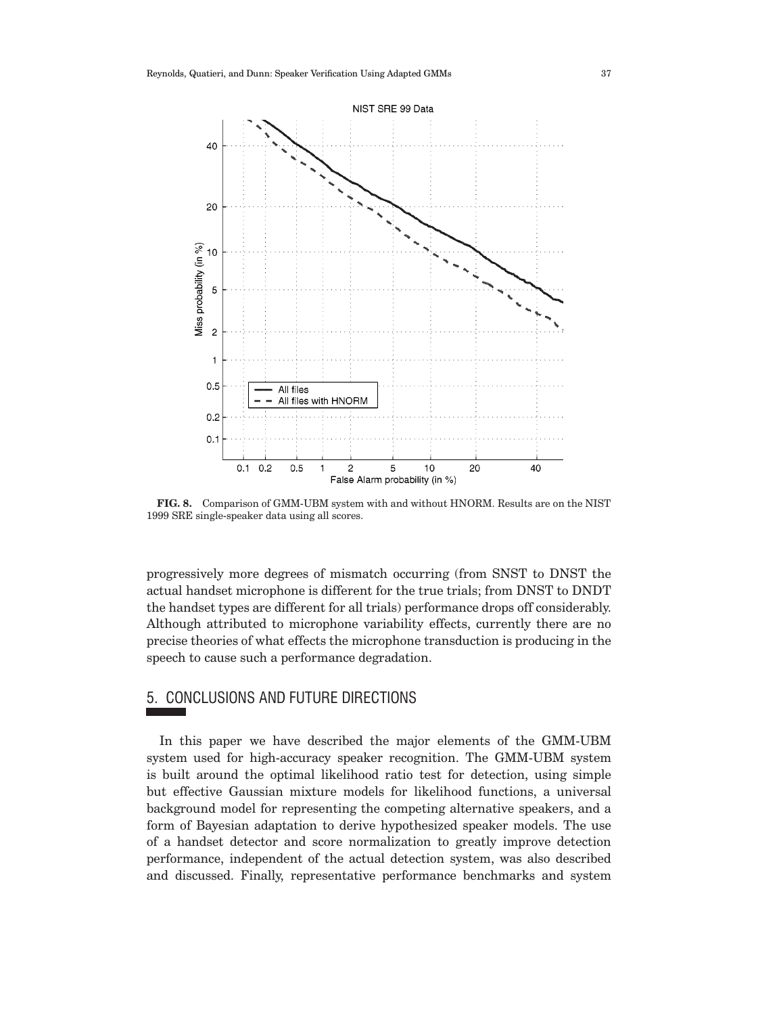

**FIG. 8.** Comparison of GMM-UBM system with and without HNORM. Results are on the NIST 1999 SRE single-speaker data using all scores.

progressively more degrees of mismatch occurring (from SNST to DNST the actual handset microphone is different for the true trials; from DNST to DNDT the handset types are different for all trials) performance drops off considerably. Although attributed to microphone variability effects, currently there are no precise theories of what effects the microphone transduction is producing in the speech to cause such a performance degradation.

# 5. CONCLUSIONS AND FUTURE DIRECTIONS

In this paper we have described the major elements of the GMM-UBM system used for high-accuracy speaker recognition. The GMM-UBM system is built around the optimal likelihood ratio test for detection, using simple but effective Gaussian mixture models for likelihood functions, a universal background model for representing the competing alternative speakers, and a form of Bayesian adaptation to derive hypothesized speaker models. The use of a handset detector and score normalization to greatly improve detection performance, independent of the actual detection system, was also described and discussed. Finally, representative performance benchmarks and system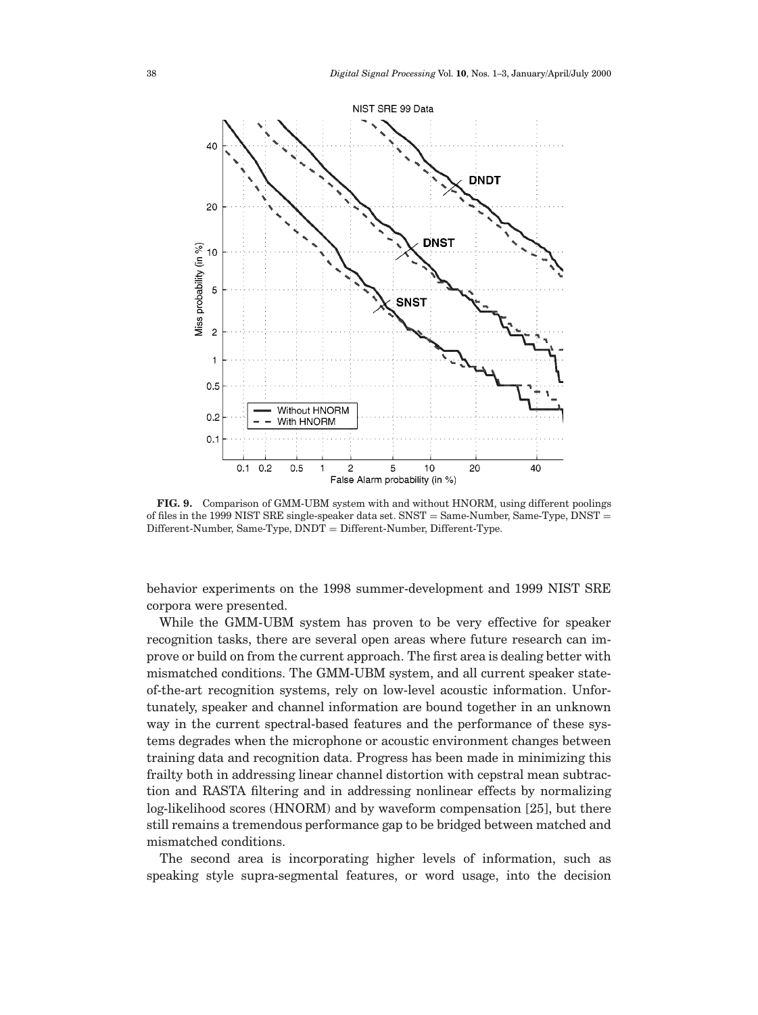

**FIG. 9.** Comparison of GMM-UBM system with and without HNORM, using different poolings of files in the 1999 NIST SRE single-speaker data set.  $SNST = Same-Number$ , Same-Type,  $DNST =$ Different-Number, Same-Type, DNDT = Different-Number, Different-Type.

behavior experiments on the 1998 summer-development and 1999 NIST SRE corpora were presented.

While the GMM-UBM system has proven to be very effective for speaker recognition tasks, there are several open areas where future research can improve or build on from the current approach. The first area is dealing better with mismatched conditions. The GMM-UBM system, and all current speaker stateof-the-art recognition systems, rely on low-level acoustic information. Unfortunately, speaker and channel information are bound together in an unknown way in the current spectral-based features and the performance of these systems degrades when the microphone or acoustic environment changes between training data and recognition data. Progress has been made in minimizing this frailty both in addressing linear channel distortion with cepstral mean subtraction and RASTA filtering and in addressing nonlinear effects by normalizing log-likelihood scores (HNORM) and by waveform compensation [25], but there still remains a tremendous performance gap to be bridged between matched and mismatched conditions.

The second area is incorporating higher levels of information, such as speaking style supra-segmental features, or word usage, into the decision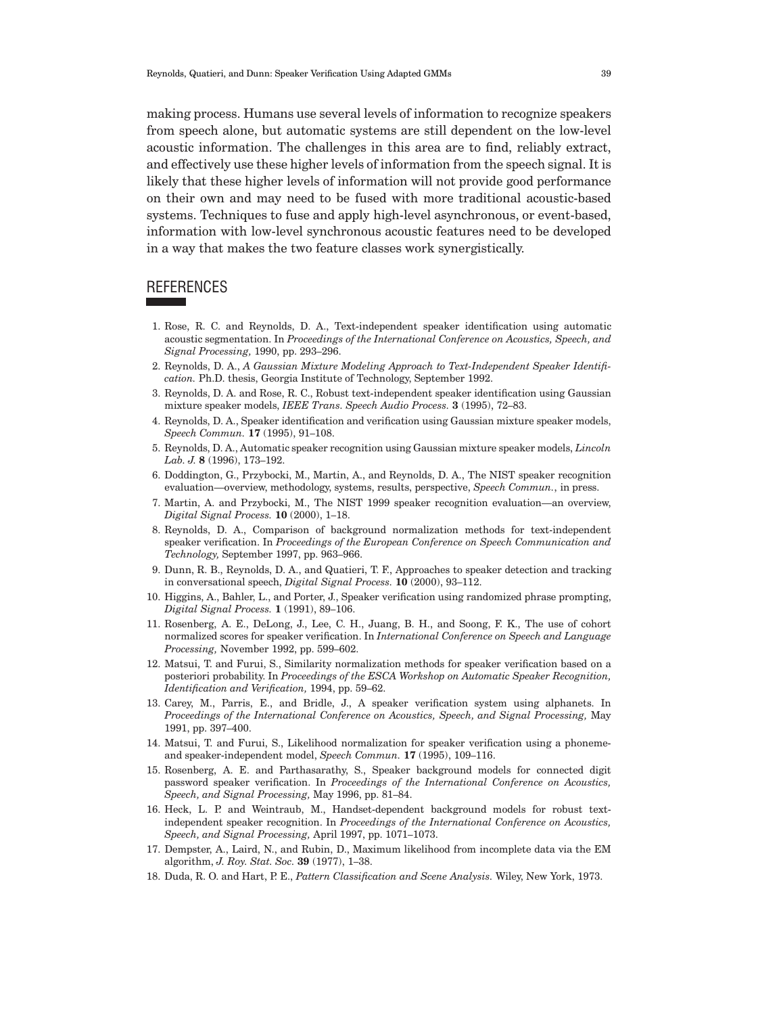making process. Humans use several levels of information to recognize speakers from speech alone, but automatic systems are still dependent on the low-level acoustic information. The challenges in this area are to find, reliably extract, and effectively use these higher levels of information from the speech signal. It is likely that these higher levels of information will not provide good performance on their own and may need to be fused with more traditional acoustic-based systems. Techniques to fuse and apply high-level asynchronous, or event-based, information with low-level synchronous acoustic features need to be developed in a way that makes the two feature classes work synergistically.

# REFERENCES

- 1. Rose, R. C. and Reynolds, D. A., Text-independent speaker identification using automatic acoustic segmentation. In *Proceedings of the International Conference on Acoustics, Speech, and Signal Processing,* 1990, pp. 293–296.
- 2. Reynolds, D. A., *A Gaussian Mixture Modeling Approach to Text-Independent Speaker Identification.* Ph.D. thesis, Georgia Institute of Technology, September 1992.
- 3. Reynolds, D. A. and Rose, R. C., Robust text-independent speaker identification using Gaussian mixture speaker models, *IEEE Trans. Speech Audio Process.* **3** (1995), 72–83.
- 4. Reynolds, D. A., Speaker identification and verification using Gaussian mixture speaker models, *Speech Commun.* **17** (1995), 91–108.
- 5. Reynolds, D. A., Automatic speaker recognition using Gaussian mixture speaker models, *Lincoln Lab. J.* **8** (1996), 173–192.
- 6. Doddington, G., Przybocki, M., Martin, A., and Reynolds, D. A., The NIST speaker recognition evaluation—overview, methodology, systems, results, perspective, *Speech Commun.*, in press.
- 7. Martin, A. and Przybocki, M., The NIST 1999 speaker recognition evaluation—an overview, *Digital Signal Process.* **10** (2000), 1–18.
- 8. Reynolds, D. A., Comparison of background normalization methods for text-independent speaker verification. In *Proceedings of the European Conference on Speech Communication and Technology,* September 1997, pp. 963–966.
- 9. Dunn, R. B., Reynolds, D. A., and Quatieri, T. F., Approaches to speaker detection and tracking in conversational speech, *Digital Signal Process.* **10** (2000), 93–112.
- 10. Higgins, A., Bahler, L., and Porter, J., Speaker verification using randomized phrase prompting, *Digital Signal Process.* **1** (1991), 89–106.
- 11. Rosenberg, A. E., DeLong, J., Lee, C. H., Juang, B. H., and Soong, F. K., The use of cohort normalized scores for speaker verification. In *International Conference on Speech and Language Processing,* November 1992, pp. 599–602.
- 12. Matsui, T. and Furui, S., Similarity normalization methods for speaker verification based on a posteriori probability. In *Proceedings of the ESCA Workshop on Automatic Speaker Recognition, Identification and Verification,* 1994, pp. 59–62.
- 13. Carey, M., Parris, E., and Bridle, J., A speaker verification system using alphanets. In *Proceedings of the International Conference on Acoustics, Speech, and Signal Processing,* May 1991, pp. 397–400.
- 14. Matsui, T. and Furui, S., Likelihood normalization for speaker verification using a phonemeand speaker-independent model, *Speech Commun.* **17** (1995), 109–116.
- 15. Rosenberg, A. E. and Parthasarathy, S., Speaker background models for connected digit password speaker verification. In *Proceedings of the International Conference on Acoustics, Speech, and Signal Processing,* May 1996, pp. 81–84.
- 16. Heck, L. P. and Weintraub, M., Handset-dependent background models for robust textindependent speaker recognition. In *Proceedings of the International Conference on Acoustics, Speech, and Signal Processing,* April 1997, pp. 1071–1073.
- 17. Dempster, A., Laird, N., and Rubin, D., Maximum likelihood from incomplete data via the EM algorithm, *J. Roy. Stat. Soc.* **39** (1977), 1–38.
- 18. Duda, R. O. and Hart, P. E., *Pattern Classification and Scene Analysis.* Wiley, New York, 1973.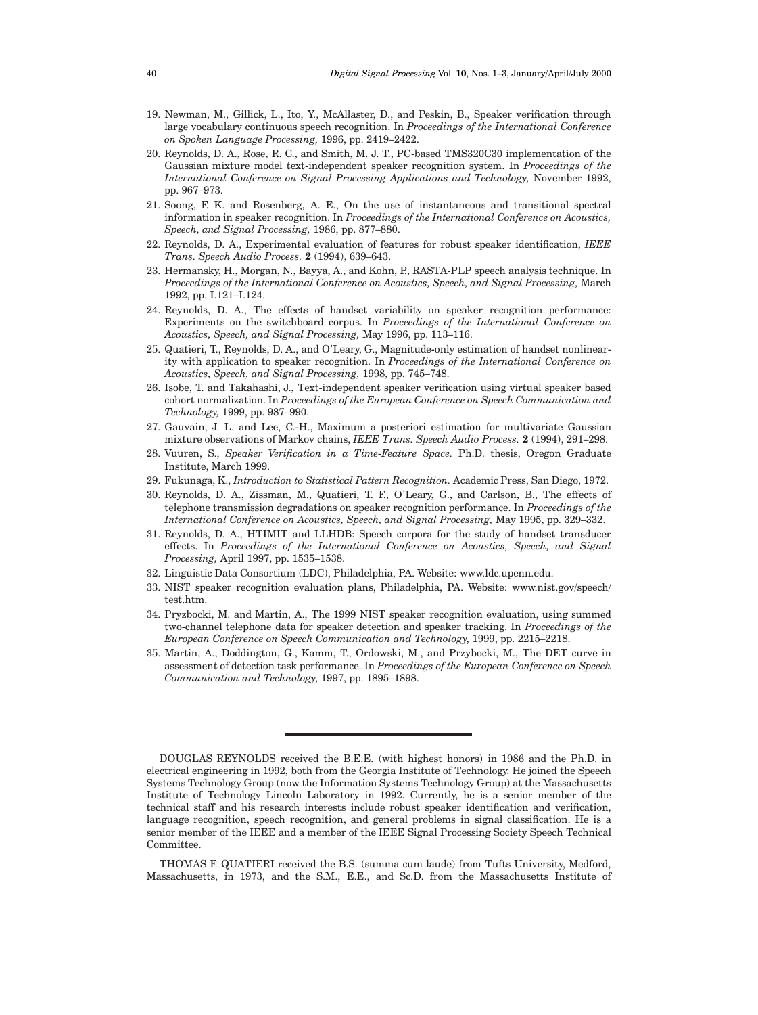- 19. Newman, M., Gillick, L., Ito, Y., McAllaster, D., and Peskin, B., Speaker verification through large vocabulary continuous speech recognition. In *Proceedings of the International Conference on Spoken Language Processing,* 1996, pp. 2419–2422.
- 20. Reynolds, D. A., Rose, R. C., and Smith, M. J. T., PC-based TMS320C30 implementation of the Gaussian mixture model text-independent speaker recognition system. In *Proceedings of the International Conference on Signal Processing Applications and Technology,* November 1992, pp. 967–973.
- 21. Soong, F. K. and Rosenberg, A. E., On the use of instantaneous and transitional spectral information in speaker recognition. In *Proceedings of the International Conference on Acoustics, Speech, and Signal Processing,* 1986, pp. 877–880.
- 22. Reynolds, D. A., Experimental evaluation of features for robust speaker identification, *IEEE Trans. Speech Audio Process.* **2** (1994), 639–643.
- 23. Hermansky, H., Morgan, N., Bayya, A., and Kohn, P., RASTA-PLP speech analysis technique. In *Proceedings of the International Conference on Acoustics, Speech, and Signal Processing,* March 1992, pp. I.121–I.124.
- 24. Reynolds, D. A., The effects of handset variability on speaker recognition performance: Experiments on the switchboard corpus. In *Proceedings of the International Conference on Acoustics, Speech, and Signal Processing,* May 1996, pp. 113–116.
- 25. Quatieri, T., Reynolds, D. A., and O'Leary, G., Magnitude-only estimation of handset nonlinearity with application to speaker recognition. In *Proceedings of the International Conference on Acoustics, Speech, and Signal Processing,* 1998, pp. 745–748.
- 26. Isobe, T. and Takahashi, J., Text-independent speaker verification using virtual speaker based cohort normalization. In *Proceedings of the European Conference on Speech Communication and Technology,* 1999, pp. 987–990.
- 27. Gauvain, J. L. and Lee, C.-H., Maximum a posteriori estimation for multivariate Gaussian mixture observations of Markov chains, *IEEE Trans. Speech Audio Process.* **2** (1994), 291–298.
- 28. Vuuren, S., *Speaker Verification in a Time-Feature Space.* Ph.D. thesis, Oregon Graduate Institute, March 1999.
- 29. Fukunaga, K., *Introduction to Statistical Pattern Recognition.* Academic Press, San Diego, 1972.
- 30. Reynolds, D. A., Zissman, M., Quatieri, T. F., O'Leary, G., and Carlson, B., The effects of telephone transmission degradations on speaker recognition performance. In *Proceedings of the International Conference on Acoustics, Speech, and Signal Processing,* May 1995, pp. 329–332.
- 31. Reynolds, D. A., HTIMIT and LLHDB: Speech corpora for the study of handset transducer effects. In *Proceedings of the International Conference on Acoustics, Speech, and Signal Processing,* April 1997, pp. 1535–1538.
- 32. Linguistic Data Consortium (LDC), Philadelphia, PA. Website: www.ldc.upenn.edu.
- 33. NIST speaker recognition evaluation plans, Philadelphia, PA. Website: www.nist.gov/speech/ test.htm.
- 34. Pryzbocki, M. and Martin, A., The 1999 NIST speaker recognition evaluation, using summed two-channel telephone data for speaker detection and speaker tracking. In *Proceedings of the European Conference on Speech Communication and Technology,* 1999, pp. 2215–2218.
- 35. Martin, A., Doddington, G., Kamm, T., Ordowski, M., and Przybocki, M., The DET curve in assessment of detection task performance. In *Proceedings of the European Conference on Speech Communication and Technology,* 1997, pp. 1895–1898.

THOMAS F. QUATIERI received the B.S. (summa cum laude) from Tufts University, Medford, Massachusetts, in 1973, and the S.M., E.E., and Sc.D. from the Massachusetts Institute of

DOUGLAS REYNOLDS received the B.E.E. (with highest honors) in 1986 and the Ph.D. in electrical engineering in 1992, both from the Georgia Institute of Technology. He joined the Speech Systems Technology Group (now the Information Systems Technology Group) at the Massachusetts Institute of Technology Lincoln Laboratory in 1992. Currently, he is a senior member of the technical staff and his research interests include robust speaker identification and verification, language recognition, speech recognition, and general problems in signal classification. He is a senior member of the IEEE and a member of the IEEE Signal Processing Society Speech Technical Committee.